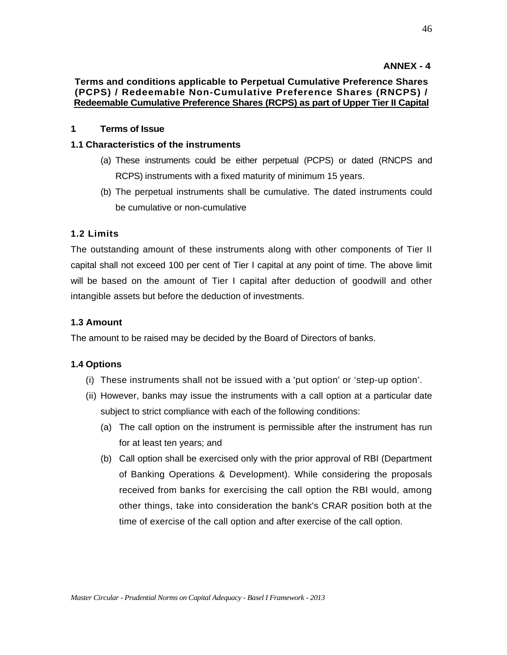# **ANNEX - 4**

# **Terms and conditions applicable to Perpetual Cumulative Preference Shares (PCPS) / Redeemable Non-Cumulative Preference Shares (RNCPS) / Redeemable Cumulative Preference Shares (RCPS) as part of Upper Tier II Capital**

## **1. Terms of Issue**

### **1.1 Characteristics of the instruments**

- (a) These instruments could be either perpetual (PCPS) or dated (RNCPS and RCPS) instruments with a fixed maturity of minimum 15 years.
- (b) The perpetual instruments shall be cumulative. The dated instruments could be cumulative or non-cumulative

## **1.2 Limits**

The outstanding amount of these instruments along with other components of Tier II capital shall not exceed 100 per cent of Tier I capital at any point of time. The above limit will be based on the amount of Tier I capital after deduction of goodwill and other intangible assets but before the deduction of investments.

### **1.3 Amount**

The amount to be raised may be decided by the Board of Directors of banks.

### **1.4 Options**

- (i) These instruments shall not be issued with a 'put option' or 'step-up option'.
- (ii) However, banks may issue the instruments with a call option at a particular date subject to strict compliance with each of the following conditions:
	- (a) The call option on the instrument is permissible after the instrument has run for at least ten years; and
	- (b) Call option shall be exercised only with the prior approval of RBI (Department of Banking Operations & Development). While considering the proposals received from banks for exercising the call option the RBI would, among other things, take into consideration the bank's CRAR position both at the time of exercise of the call option and after exercise of the call option.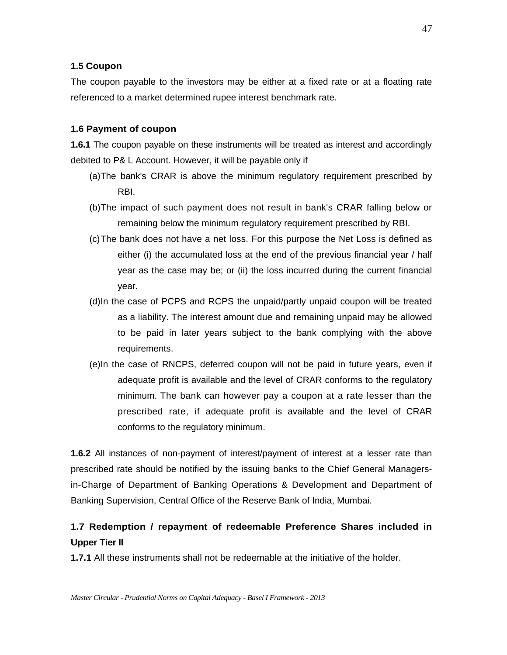### **1.5 Coupon**

The coupon payable to the investors may be either at a fixed rate or at a floating rate referenced to a market determined rupee interest benchmark rate.

### **1.6 Payment of coupon**

**1.6.1** The coupon payable on these instruments will be treated as interest and accordingly debited to P& L Account. However, it will be payable only if

- (a) The bank's CRAR is above the minimum regulatory requirement prescribed by RBI.
- (b) The impact of such payment does not result in bank's CRAR falling below or remaining below the minimum regulatory requirement prescribed by RBI.
- (c) The bank does not have a net loss. For this purpose the Net Loss is defined as either (i) the accumulated loss at the end of the previous financial year / half year as the case may be; or (ii) the loss incurred during the current financial year.
- (d) In the case of PCPS and RCPS the unpaid/partly unpaid coupon will be treated as a liability. The interest amount due and remaining unpaid may be allowed to be paid in later years subject to the bank complying with the above requirements.
- (e) In the case of RNCPS, deferred coupon will not be paid in future years, even if adequate profit is available and the level of CRAR conforms to the regulatory minimum. The bank can however pay a coupon at a rate lesser than the prescribed rate, if adequate profit is available and the level of CRAR conforms to the regulatory minimum.

**1.6.2** All instances of non-payment of interest/payment of interest at a lesser rate than prescribed rate should be notified by the issuing banks to the Chief General Managersin-Charge of Department of Banking Operations & Development and Department of Banking Supervision, Central Office of the Reserve Bank of India, Mumbai.

# **1.7 Redemption / repayment of redeemable Preference Shares included in Upper Tier II**

**1.7.1** All these instruments shall not be redeemable at the initiative of the holder.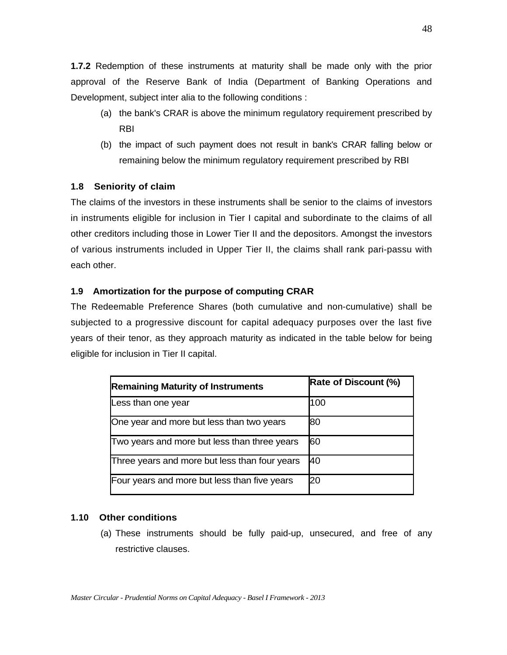**1.7.2** Redemption of these instruments at maturity shall be made only with the prior approval of the Reserve Bank of India (Department of Banking Operations and Development, subject inter alia to the following conditions :

- (a) the bank's CRAR is above the minimum regulatory requirement prescribed by RBI
- (b) the impact of such payment does not result in bank's CRAR falling below or remaining below the minimum regulatory requirement prescribed by RBI

## **1.8 Seniority of claim**

The claims of the investors in these instruments shall be senior to the claims of investors in instruments eligible for inclusion in Tier I capital and subordinate to the claims of all other creditors including those in Lower Tier II and the depositors. Amongst the investors of various instruments included in Upper Tier II, the claims shall rank pari-passu with each other.

## **1.9 Amortization for the purpose of computing CRAR**

The Redeemable Preference Shares (both cumulative and non-cumulative) shall be subjected to a progressive discount for capital adequacy purposes over the last five years of their tenor, as they approach maturity as indicated in the table below for being eligible for inclusion in Tier II capital.

| <b>Remaining Maturity of Instruments</b>      | <b>Rate of Discount (%)</b> |
|-----------------------------------------------|-----------------------------|
| Less than one year                            | 100                         |
| One year and more but less than two years     | 80                          |
| Two years and more but less than three years  | 60                          |
| Three years and more but less than four years | 40                          |
| Four years and more but less than five years  | 20                          |

## **1.10 Other conditions**

(a) These instruments should be fully paid-up, unsecured, and free of any restrictive clauses.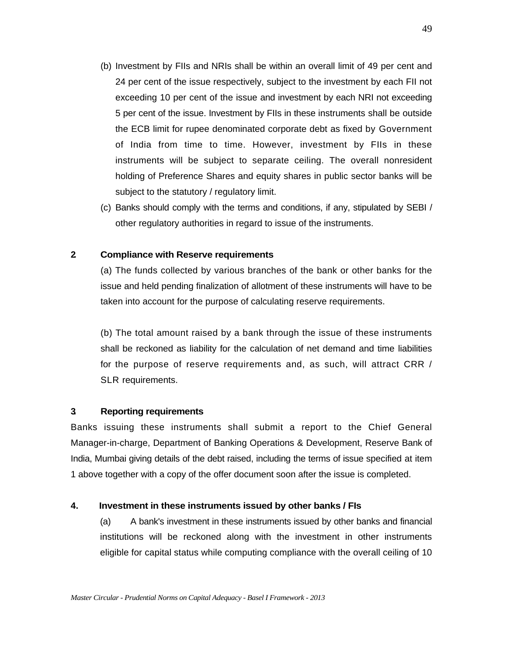- (b) Investment by FIIs and NRIs shall be within an overall limit of 49 per cent and 24 per cent of the issue respectively, subject to the investment by each FII not exceeding 10 per cent of the issue and investment by each NRI not exceeding 5 per cent of the issue. Investment by FIIs in these instruments shall be outside the ECB limit for rupee denominated corporate debt as fixed by Government of India from time to time. However, investment by FIIs in these instruments will be subject to separate ceiling. The overall nonresident holding of Preference Shares and equity shares in public sector banks will be subject to the statutory / regulatory limit.
- (c) Banks should comply with the terms and conditions, if any, stipulated by SEBI / other regulatory authorities in regard to issue of the instruments.

## **2. Compliance with Reserve requirements**

(a) The funds collected by various branches of the bank or other banks for the issue and held pending finalization of allotment of these instruments will have to be taken into account for the purpose of calculating reserve requirements.

(b) The total amount raised by a bank through the issue of these instruments shall be reckoned as liability for the calculation of net demand and time liabilities for the purpose of reserve requirements and, as such, will attract CRR / SLR requirements.

### **3. Reporting requirements**

Banks issuing these instruments shall submit a report to the Chief General Manager-in-charge, Department of Banking Operations & Development, Reserve Bank of India, Mumbai giving details of the debt raised, including the terms of issue specified at item 1 above together with a copy of the offer document soon after the issue is completed.

### **4. Investment in these instruments issued by other banks / FIs**

(a) A bank's investment in these instruments issued by other banks and financial institutions will be reckoned along with the investment in other instruments eligible for capital status while computing compliance with the overall ceiling of 10